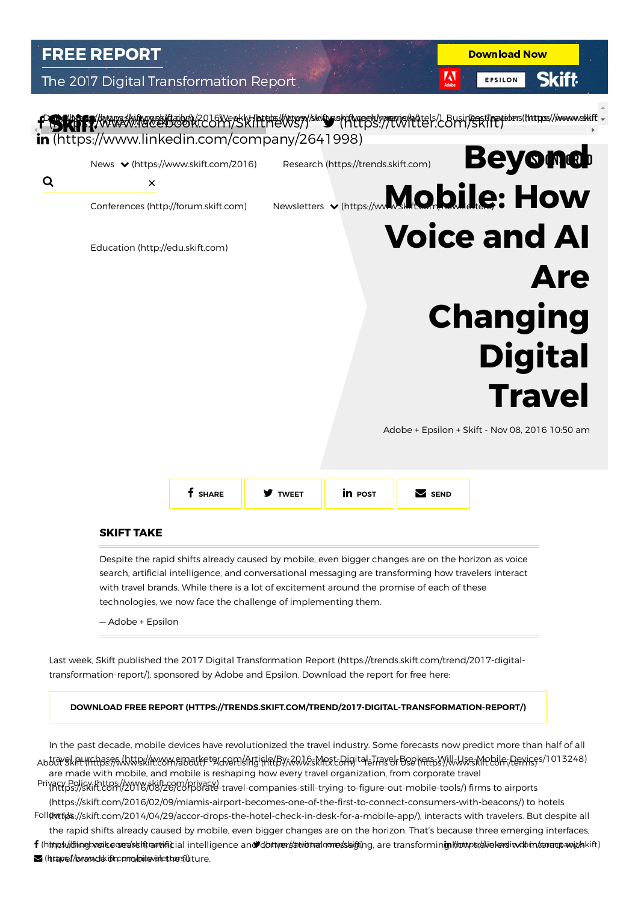# **FREE REPORT**

## The 2017 Digital Transformation Report



**Download Now** 

EPSILON

**Skift** 

M



### SKIFT TAKE

Despite the rapid shifts already caused by mobile, even bigger changes are on the horizon as voice search, artificial intelligence, and conversational messaging are transforming how travelers interact with travel brands. While there is a lot of excitement around the promise of each of these technologies, we now face the challenge of implementing them.

— Adobe + Epsilon

[Last week, Skift published the 2017 Digital Transformation Report \(https://trends.skift.com/trend/2017-digital](https://trends.skift.com/trend/2017-digital-transformation-report/)transformation-report/), sponsored by Adobe and Epsilon. Download the report for free here:

#### [DOWNLOAD FREE REPORT \(HTTPS://TRENDS.SKIFT.COM/TREND/2017-DIGITAL-TRANSFORMATION-REPORT/\)](https://trends.skift.com/trend/2017-digital-transformation-report/)

In the past decade, mobile devices have revolutionized the travel industry. Some forecasts now predict more than half of all Abti<del>a</del>vskiaunfilias:95Nhttisk/AMYSYABauket&GrefalAntjqlftBy/x2QJQskMpxt=Digital=TravelrBselfalfbsY/WJJvsskMpbilfr,Perxigfs/1013248) are made with mobile, and mobile is reshaping how every travel organization, from corporate travel

[\(https://skift.com/2016/08/26/corporate-travel-companies-still-trying-to-figure-out-mobile-tools/\) firm](https://skift.com/2016/08/26/corporate-travel-companies-still-trying-to-figure-out-mobile-tools/)s to airports [Privacy Policy \(https://www.skift.com/privacy\)](https://www.skift.com/privacy) [\(https://skift.com/2016/02/09/miamis-airport-becomes-one-of-the-first-to-connect-consumers-with-beacons/\) to h](https://skift.com/2016/02/09/miamis-airport-becomes-one-of-the-first-to-connect-consumers-with-beacons/)otels Foll(twttbs://skift.com/2014/04/29/accor-drops-the-hotel-check-in-desk-for-a-mobile-app/), interacts with travelers. But despite all

the rapid shifts already caused by mobile, even bigger changes are on the horizon. That's because three emerging interfaces, f (httpst//dtinebooikesver/skhtrart/fikial intelligence and/dottps://atvidtralomes/skifting, are transformin**inklottps;//ivekesliwildtn/coraopanit/s**kift)  $\blacksquare$  (https://www.deskift.como/oider/shetthers/ $0$ ture.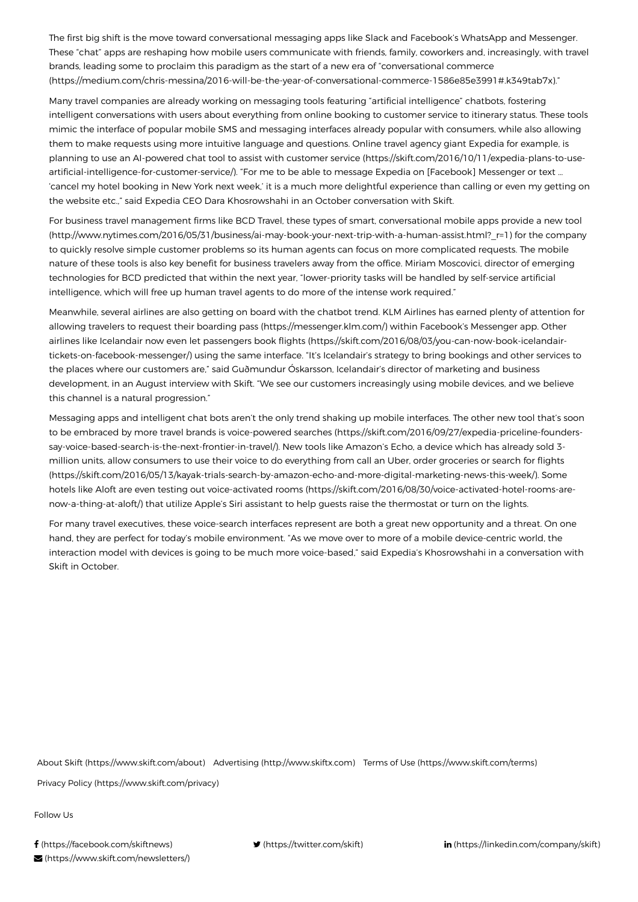The first big shift is the move toward conversational messaging apps like Slack and Facebook's WhatsApp and Messenger. These "chat" apps are reshaping how mobile users communicate with friends, family, coworkers and, increasingly, with travel brands, leading some to proclaim this paradigm as the start of a new era of "conversational commerce [\(https://medium.com/chris-messina/2016-will-be-the-year-of-conversational-commerce-1586e85e3991#.k349tab7x\)](https://medium.com/chris-messina/2016-will-be-the-year-of-conversational-commerce-1586e85e3991#.k349tab7x)."

Many travel companies are already working on messaging tools featuring "artificial intelligence" chatbots, fostering intelligent conversations with users about everything from online booking to customer service to itinerary status. These tools mimic the interface of popular mobile SMS and messaging interfaces already popular with consumers, while also allowing them to make requests using more intuitive language and questions. Online travel agency giant Expedia for example, is [planning to use an AI-powered chat tool to assist with customer service \(https://skift.com/2016/10/11/expedia-plans-to-use](https://skift.com/2016/10/11/expedia-plans-to-use-artificial-intelligence-for-customer-service/)artificial-intelligence-for-customer-service/). "For me to be able to message Expedia on [Facebook] Messenger or text … 'cancel my hotel booking in New York next week,' it is a much more delightful experience than calling or even my getting on the website etc.," said Expedia CEO Dara Khosrowshahi in an October conversation with Skift.

For business travel management firms like BCD Travel, these types of smart, conversational mobile apps provide a new tool [\(http://www.nytimes.com/2016/05/31/business/ai-may-book-your-next-trip-with-a-human-assist.html?\\_r=1\) for the company](http://www.nytimes.com/2016/05/31/business/ai-may-book-your-next-trip-with-a-human-assist.html?_r=1) to quickly resolve simple customer problems so its human agents can focus on more complicated requests. The mobile nature of these tools is also key benefit for business travelers away from the office. Miriam Moscovici, director of emerging technologies for BCD predicted that within the next year, "lower-priority tasks will be handled by self-service artificial intelligence, which will free up human travel agents to do more of the intense work required."

Meanwhile, several airlines are also getting on board with the chatbot trend. KLM Airlines has earned plenty of attention for [allowing travelers to request their boarding pass \(https://messenger.klm.com/\)](https://messenger.klm.com/) within Facebook's Messenger app. Other airlines like Icelandair now even let passengers book flights (https://skift.com/2016/08/03/you-can-now-book-icelandair[tickets-on-facebook-messenger/\) using the same interface. "It's Icelandair's strategy to bring bookings and other services](https://skift.com/2016/08/03/you-can-now-book-icelandair-tickets-on-facebook-messenger/) to the places where our customers are," said Guðmundur Óskarsson, Icelandair's director of marketing and business development, in an August interview with Skift. "We see our customers increasingly using mobile devices, and we believe this channel is a natural progression."

Messaging apps and intelligent chat bots aren't the only trend shaking up mobile interfaces. The other new tool that's soon [to be embraced by more travel brands is voice-powered searches \(https://skift.com/2016/09/27/expedia-priceline-founders](https://skift.com/2016/09/27/expedia-priceline-founders-say-voice-based-search-is-the-next-frontier-in-travel/)say-voice-based-search-is-the-next-frontier-in-travel/). New tools like Amazon's Echo, a device which has already sold 3 million units, allow consumers to use their voice to do everything from call an Uber, order groceries or search for flights [\(https://skift.com/2016/05/13/kayak-trials-search-by-amazon-echo-and-more-digital-marketing-news-this-week/\). Some](https://skift.com/2016/05/13/kayak-trials-search-by-amazon-echo-and-more-digital-marketing-news-this-week/) [hotels like Aloft are even testing out voice-activated rooms \(https://skift.com/2016/08/30/voice-activated-hotel-rooms-are](https://skift.com/2016/08/30/voice-activated-hotel-rooms-are-now-a-thing-at-aloft/)now-a-thing-at-aloft/) that utilize Apple's Siri assistant to help guests raise the thermostat or turn on the lights.

For many travel executives, these voice-search interfaces represent are both a great new opportunity and a threat. On one hand, they are perfect for today's mobile environment. "As we move over to more of a mobile device-centric world, the interaction model with devices is going to be much more voice-based," said Expedia's Khosrowshahi in a conversation with Skift in October.

[About Skift \(https://www.skift.com/about\)](https://www.skift.com/about) [Advertising \(http://www.skiftx.com\)](http://www.skiftx.com/) [Terms of Use \(https://www.skift.com/terms\)](https://www.skift.com/terms)

[Privacy Policy \(https://www.skift.com/privacy\)](https://www.skift.com/privacy)

Follow Us

f [\(https://facebook.com/skiftnews\)](https://facebook.com/skiftnews) **v** [\(https://twitter.com/skift\)](https://twitter.com/skift) **in** [\(https://linkedin.com/company/skift\)](https://linkedin.com/company/skift) [\(https://www.skift.com/newsletters/\)](https://www.skift.com/newsletters/)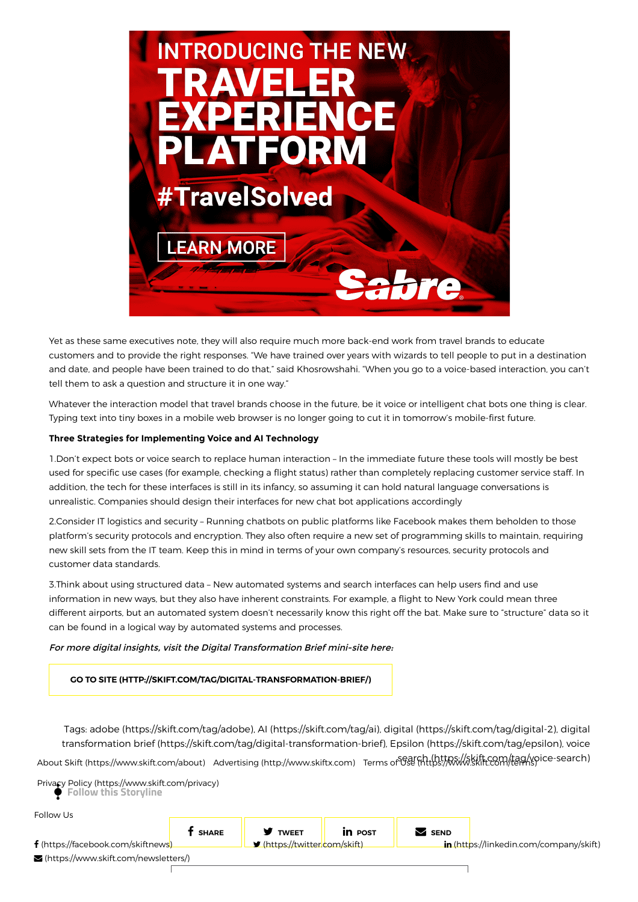

Yet as these same executives note, they will also require much more back-end work from travel brands to educate customers and to provide the right responses. "We have trained over years with wizards to tell people to put in a destination and date, and people have been trained to do that," said Khosrowshahi. "When you go to a voice-based interaction, you can't tell them to ask a question and structure it in one way."

Whatever the interaction model that travel brands choose in the future, be it voice or intelligent chat bots one thing is clear. Typing text into tiny boxes in a mobile web browser is no longer going to cut it in tomorrow's mobile-first future.

#### Three Strategies for Implementing Voice and AI Technology

1.Don't expect bots or voice search to replace human interaction – In the immediate future these tools will mostly be best used for specific use cases (for example, checking a flight status) rather than completely replacing customer service staff. In addition, the tech for these interfaces is still in its infancy, so assuming it can hold natural language conversations is unrealistic. Companies should design their interfaces for new chat bot applications accordingly

2.Consider IT logistics and security – Running chatbots on public platforms like Facebook makes them beholden to those platform's security protocols and encryption. They also often require a new set of programming skills to maintain, requiring new skill sets from the IT team. Keep this in mind in terms of your own company's resources, security protocols and customer data standards.

3.Think about using structured data – New automated systems and search interfaces can help users find and use information in new ways, but they also have inherent constraints. For example, a flight to New York could mean three different airports, but an automated system doesn't necessarily know this right off the bat. Make sure to "structure" data so it can be found in a logical way by automated systems and processes.

#### For more digital insights, visit the Digital Transformation Brief mini-site here:

[GO TO SITE \(HTTP://SKIFT.COM/TAG/DIGITAL-TRANSFORMATION-BRIEF/\)](http://skift.com/tag/digital-transformation-brief/)

Tags: [adobe \(https://skift.com/tag/adobe\)](https://skift.com/tag/adobe), [AI \(https://skift.com/tag/ai\),](https://skift.com/tag/ai) [digital \(https://skift.com/tag/digital-2\),](https://skift.com/tag/digital-2) digital [transformation brief \(https://skift.com/tag/digital-transformation-brief\), Epsilon \(https://skift.com/tag/epsilon\), voice](https://skift.com/tag/digital-transformation-brief) search (https://skift.com/tag/voice-search) [About Skift \(https://www.skift.com/about\)](https://www.skift.com/about) [Advertising \(http://www.skiftx.com\)](http://www.skiftx.com/) [Terms of Use \(https://www.skift.com/terms\)](https://www.skift.com/terms)

 Follow this Storyline [Privacy Policy \(https://www.skift.com/privacy\)](https://www.skift.com/privacy)

Follow Us

 $f$  share  $\parallel$  **y** tweet  $\parallel$  in post  $\parallel$  **S** send f [\(https://facebook.com/skiftnews\)](https://facebook.com/skiftnews) **v** [\(https://twitter.com/skift](https://twitter.com/skift)[\)](javascript:) **in** [\(https://linkedin.com/company/skift\)](https://linkedin.com/company/skift) [\(https://www.skift.com/newsletters/\)](https://www.skift.com/newsletters/)